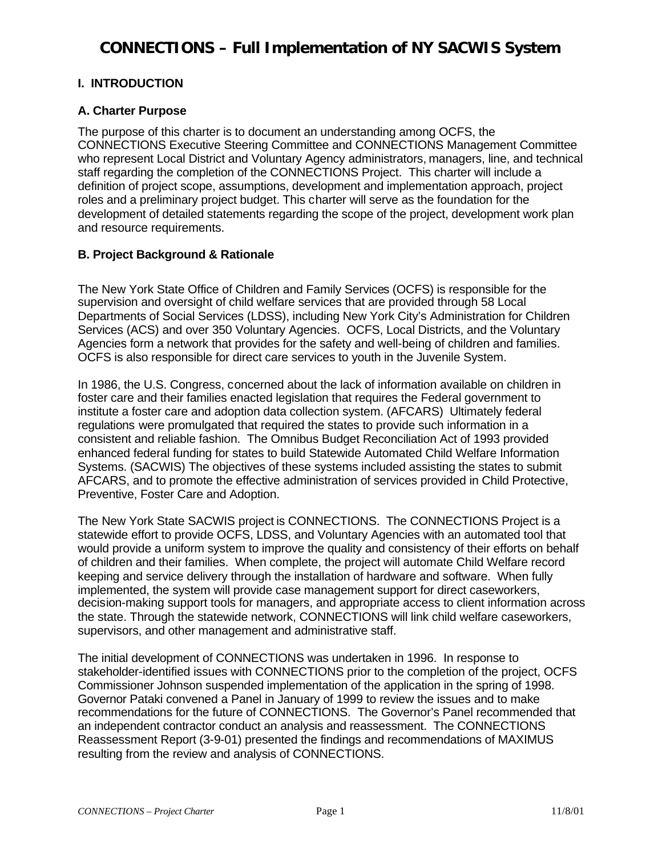### **I. INTRODUCTION**

### **A. Charter Purpose**

The purpose of this charter is to document an understanding among OCFS, the CONNECTIONS Executive Steering Committee and CONNECTIONS Management Committee who represent Local District and Voluntary Agency administrators, managers, line, and technical staff regarding the completion of the CONNECTIONS Project. This charter will include a definition of project scope, assumptions, development and implementation approach, project roles and a preliminary project budget. This charter will serve as the foundation for the development of detailed statements regarding the scope of the project, development work plan and resource requirements.

### **B. Project Background & Rationale**

The New York State Office of Children and Family Services (OCFS) is responsible for the supervision and oversight of child welfare services that are provided through 58 Local Departments of Social Services (LDSS), including New York City's Administration for Children Services (ACS) and over 350 Voluntary Agencies. OCFS, Local Districts, and the Voluntary Agencies form a network that provides for the safety and well-being of children and families. OCFS is also responsible for direct care services to youth in the Juvenile System.

In 1986, the U.S. Congress, concerned about the lack of information available on children in foster care and their families enacted legislation that requires the Federal government to institute a foster care and adoption data collection system. (AFCARS) Ultimately federal regulations were promulgated that required the states to provide such information in a consistent and reliable fashion. The Omnibus Budget Reconciliation Act of 1993 provided enhanced federal funding for states to build Statewide Automated Child Welfare Information Systems. (SACWIS) The objectives of these systems included assisting the states to submit AFCARS, and to promote the effective administration of services provided in Child Protective, Preventive, Foster Care and Adoption.

The New York State SACWIS project is CONNECTIONS. The CONNECTIONS Project is a statewide effort to provide OCFS, LDSS, and Voluntary Agencies with an automated tool that would provide a uniform system to improve the quality and consistency of their efforts on behalf of children and their families. When complete, the project will automate Child Welfare record keeping and service delivery through the installation of hardware and software. When fully implemented, the system will provide case management support for direct caseworkers, decision-making support tools for managers, and appropriate access to client information across the state. Through the statewide network, CONNECTIONS will link child welfare caseworkers, supervisors, and other management and administrative staff.

The initial development of CONNECTIONS was undertaken in 1996. In response to stakeholder-identified issues with CONNECTIONS prior to the completion of the project, OCFS Commissioner Johnson suspended implementation of the application in the spring of 1998. Governor Pataki convened a Panel in January of 1999 to review the issues and to make recommendations for the future of CONNECTIONS. The Governor's Panel recommended that an independent contractor conduct an analysis and reassessment. The CONNECTIONS Reassessment Report (3-9-01) presented the findings and recommendations of MAXIMUS resulting from the review and analysis of CONNECTIONS.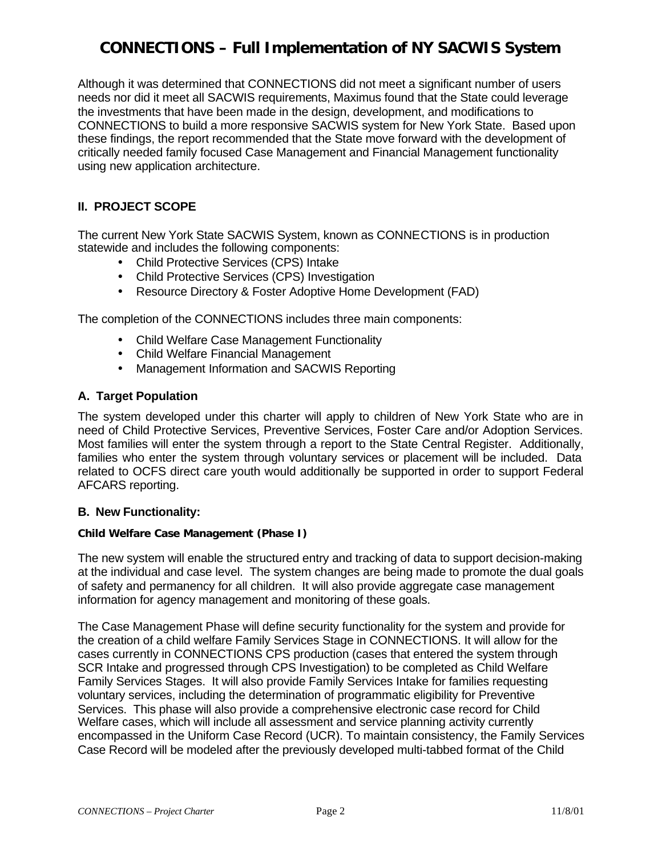Although it was determined that CONNECTIONS did not meet a significant number of users needs nor did it meet all SACWIS requirements, Maximus found that the State could leverage the investments that have been made in the design, development, and modifications to CONNECTIONS to build a more responsive SACWIS system for New York State. Based upon these findings, the report recommended that the State move forward with the development of critically needed family focused Case Management and Financial Management functionality using new application architecture.

### **II. PROJECT SCOPE**

The current New York State SACWIS System, known as CONNECTIONS is in production statewide and includes the following components:

- Child Protective Services (CPS) Intake
- Child Protective Services (CPS) Investigation
- Resource Directory & Foster Adoptive Home Development (FAD)

The completion of the CONNECTIONS includes three main components:

- Child Welfare Case Management Functionality
- Child Welfare Financial Management
- Management Information and SACWIS Reporting

#### **A. Target Population**

The system developed under this charter will apply to children of New York State who are in need of Child Protective Services, Preventive Services, Foster Care and/or Adoption Services. Most families will enter the system through a report to the State Central Register. Additionally, families who enter the system through voluntary services or placement will be included. Data related to OCFS direct care youth would additionally be supported in order to support Federal AFCARS reporting.

#### **B. New Functionality:**

#### **Child Welfare Case Management (Phase I)**

The new system will enable the structured entry and tracking of data to support decision-making at the individual and case level. The system changes are being made to promote the dual goals of safety and permanency for all children. It will also provide aggregate case management information for agency management and monitoring of these goals.

The Case Management Phase will define security functionality for the system and provide for the creation of a child welfare Family Services Stage in CONNECTIONS. It will allow for the cases currently in CONNECTIONS CPS production (cases that entered the system through SCR Intake and progressed through CPS Investigation) to be completed as Child Welfare Family Services Stages. It will also provide Family Services Intake for families requesting voluntary services, including the determination of programmatic eligibility for Preventive Services. This phase will also provide a comprehensive electronic case record for Child Welfare cases, which will include all assessment and service planning activity currently encompassed in the Uniform Case Record (UCR). To maintain consistency, the Family Services Case Record will be modeled after the previously developed multi-tabbed format of the Child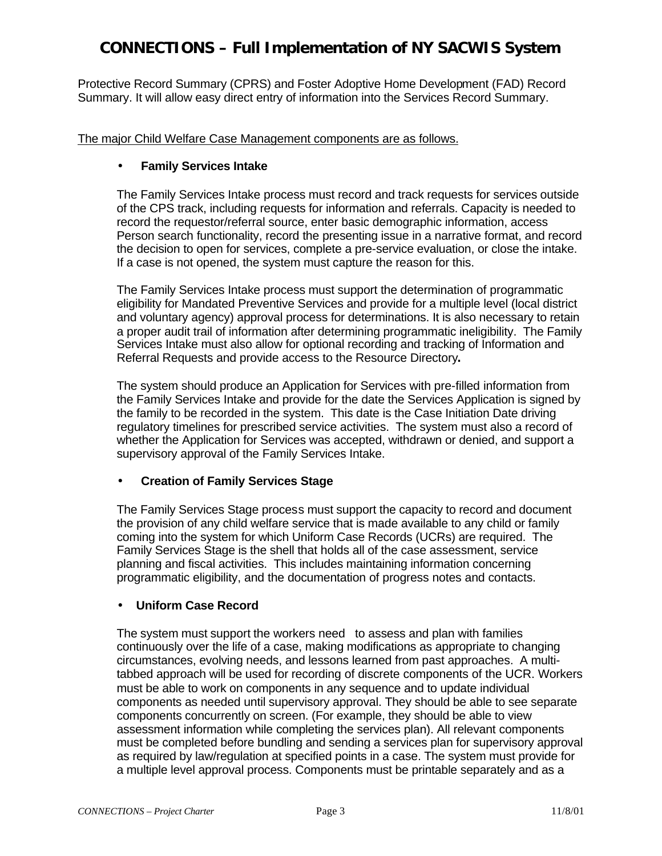Protective Record Summary (CPRS) and Foster Adoptive Home Development (FAD) Record Summary. It will allow easy direct entry of information into the Services Record Summary.

The major Child Welfare Case Management components are as follows.

### • **Family Services Intake**

The Family Services Intake process must record and track requests for services outside of the CPS track, including requests for information and referrals. Capacity is needed to record the requestor/referral source, enter basic demographic information, access Person search functionality, record the presenting issue in a narrative format, and record the decision to open for services, complete a pre-service evaluation, or close the intake. If a case is not opened, the system must capture the reason for this.

The Family Services Intake process must support the determination of programmatic eligibility for Mandated Preventive Services and provide for a multiple level (local district and voluntary agency) approval process for determinations. It is also necessary to retain a proper audit trail of information after determining programmatic ineligibility. The Family Services Intake must also allow for optional recording and tracking of Information and Referral Requests and provide access to the Resource Directory**.**

The system should produce an Application for Services with pre-filled information from the Family Services Intake and provide for the date the Services Application is signed by the family to be recorded in the system. This date is the Case Initiation Date driving regulatory timelines for prescribed service activities. The system must also a record of whether the Application for Services was accepted, withdrawn or denied, and support a supervisory approval of the Family Services Intake.

### • **Creation of Family Services Stage**

The Family Services Stage process must support the capacity to record and document the provision of any child welfare service that is made available to any child or family coming into the system for which Uniform Case Records (UCRs) are required. The Family Services Stage is the shell that holds all of the case assessment, service planning and fiscal activities. This includes maintaining information concerning programmatic eligibility, and the documentation of progress notes and contacts.

### • **Uniform Case Record**

The system must support the workers need to assess and plan with families continuously over the life of a case, making modifications as appropriate to changing circumstances, evolving needs, and lessons learned from past approaches. A multitabbed approach will be used for recording of discrete components of the UCR. Workers must be able to work on components in any sequence and to update individual components as needed until supervisory approval. They should be able to see separate components concurrently on screen. (For example, they should be able to view assessment information while completing the services plan). All relevant components must be completed before bundling and sending a services plan for supervisory approval as required by law/regulation at specified points in a case. The system must provide for a multiple level approval process. Components must be printable separately and as a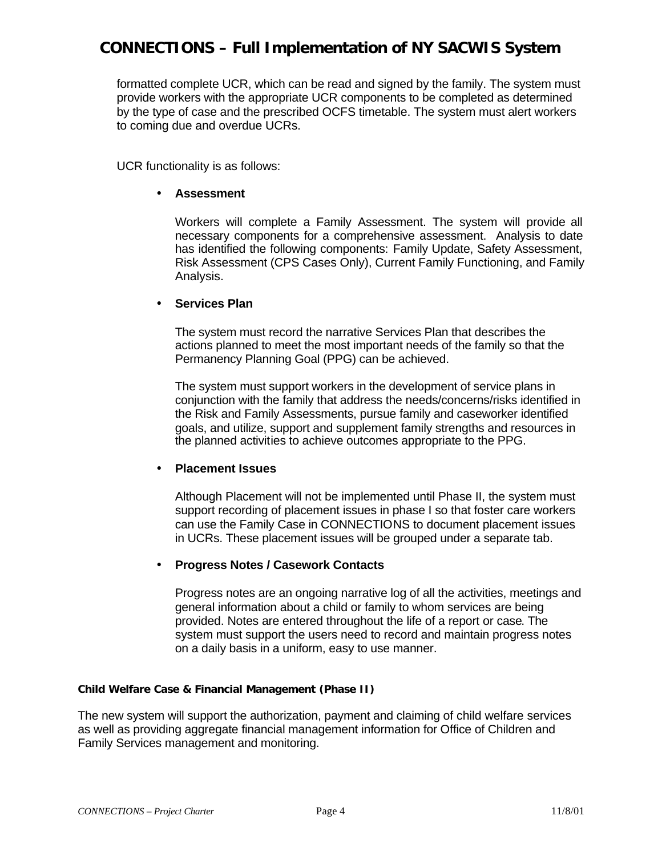formatted complete UCR, which can be read and signed by the family. The system must provide workers with the appropriate UCR components to be completed as determined by the type of case and the prescribed OCFS timetable. The system must alert workers to coming due and overdue UCRs.

UCR functionality is as follows:

#### • **Assessment**

Workers will complete a Family Assessment. The system will provide all necessary components for a comprehensive assessment. Analysis to date has identified the following components: Family Update, Safety Assessment, Risk Assessment (CPS Cases Only), Current Family Functioning, and Family Analysis.

#### • **Services Plan**

The system must record the narrative Services Plan that describes the actions planned to meet the most important needs of the family so that the Permanency Planning Goal (PPG) can be achieved.

The system must support workers in the development of service plans in conjunction with the family that address the needs/concerns/risks identified in the Risk and Family Assessments, pursue family and caseworker identified goals, and utilize, support and supplement family strengths and resources in the planned activities to achieve outcomes appropriate to the PPG.

### • **Placement Issues**

Although Placement will not be implemented until Phase II, the system must support recording of placement issues in phase I so that foster care workers can use the Family Case in CONNECTIONS to document placement issues in UCRs. These placement issues will be grouped under a separate tab.

### • **Progress Notes / Casework Contacts**

Progress notes are an ongoing narrative log of all the activities, meetings and general information about a child or family to whom services are being provided. Notes are entered throughout the life of a report or case. The system must support the users need to record and maintain progress notes on a daily basis in a uniform, easy to use manner.

#### **Child Welfare Case & Financial Management (Phase II)**

The new system will support the authorization, payment and claiming of child welfare services as well as providing aggregate financial management information for Office of Children and Family Services management and monitoring.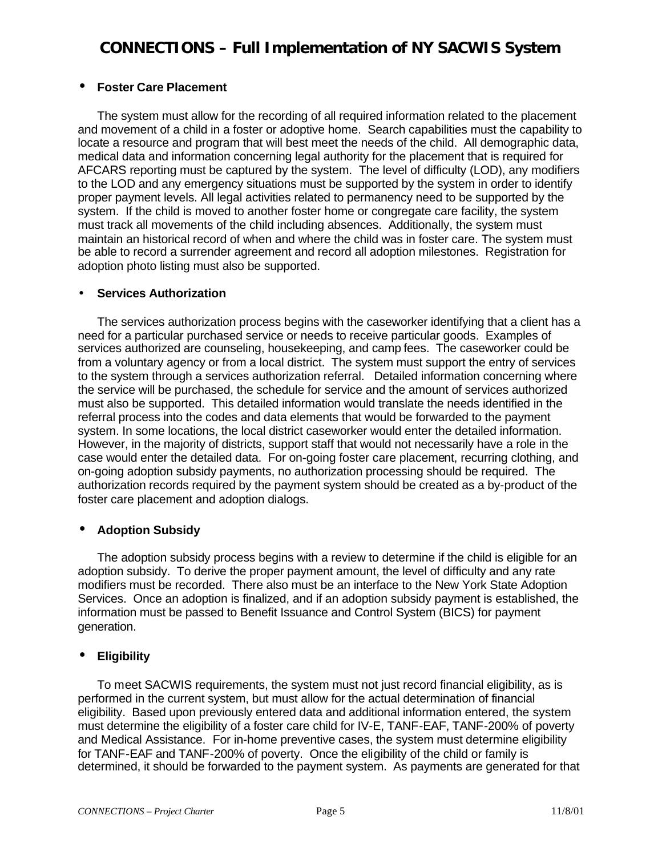### • **Foster Care Placement**

The system must allow for the recording of all required information related to the placement and movement of a child in a foster or adoptive home. Search capabilities must the capability to locate a resource and program that will best meet the needs of the child. All demographic data, medical data and information concerning legal authority for the placement that is required for AFCARS reporting must be captured by the system. The level of difficulty (LOD), any modifiers to the LOD and any emergency situations must be supported by the system in order to identify proper payment levels. All legal activities related to permanency need to be supported by the system. If the child is moved to another foster home or congregate care facility, the system must track all movements of the child including absences. Additionally, the system must maintain an historical record of when and where the child was in foster care. The system must be able to record a surrender agreement and record all adoption milestones. Registration for adoption photo listing must also be supported.

### • **Services Authorization**

The services authorization process begins with the caseworker identifying that a client has a need for a particular purchased service or needs to receive particular goods. Examples of services authorized are counseling, housekeeping, and camp fees. The caseworker could be from a voluntary agency or from a local district. The system must support the entry of services to the system through a services authorization referral. Detailed information concerning where the service will be purchased, the schedule for service and the amount of services authorized must also be supported. This detailed information would translate the needs identified in the referral process into the codes and data elements that would be forwarded to the payment system. In some locations, the local district caseworker would enter the detailed information. However, in the majority of districts, support staff that would not necessarily have a role in the case would enter the detailed data. For on-going foster care placement, recurring clothing, and on-going adoption subsidy payments, no authorization processing should be required. The authorization records required by the payment system should be created as a by-product of the foster care placement and adoption dialogs.

### • **Adoption Subsidy**

The adoption subsidy process begins with a review to determine if the child is eligible for an adoption subsidy. To derive the proper payment amount, the level of difficulty and any rate modifiers must be recorded. There also must be an interface to the New York State Adoption Services. Once an adoption is finalized, and if an adoption subsidy payment is established, the information must be passed to Benefit Issuance and Control System (BICS) for payment generation.

### • **Eligibility**

To meet SACWIS requirements, the system must not just record financial eligibility, as is performed in the current system, but must allow for the actual determination of financial eligibility. Based upon previously entered data and additional information entered, the system must determine the eligibility of a foster care child for IV-E, TANF-EAF, TANF-200% of poverty and Medical Assistance. For in-home preventive cases, the system must determine eligibility for TANF-EAF and TANF-200% of poverty. Once the eligibility of the child or family is determined, it should be forwarded to the payment system. As payments are generated for that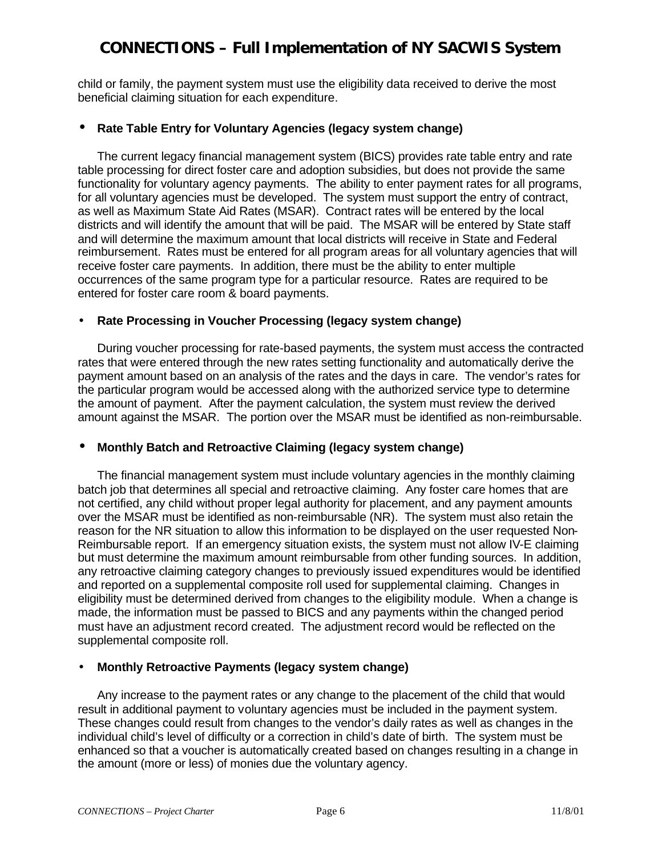child or family, the payment system must use the eligibility data received to derive the most beneficial claiming situation for each expenditure.

### • **Rate Table Entry for Voluntary Agencies (legacy system change)**

The current legacy financial management system (BICS) provides rate table entry and rate table processing for direct foster care and adoption subsidies, but does not provide the same functionality for voluntary agency payments. The ability to enter payment rates for all programs, for all voluntary agencies must be developed. The system must support the entry of contract, as well as Maximum State Aid Rates (MSAR). Contract rates will be entered by the local districts and will identify the amount that will be paid. The MSAR will be entered by State staff and will determine the maximum amount that local districts will receive in State and Federal reimbursement. Rates must be entered for all program areas for all voluntary agencies that will receive foster care payments. In addition, there must be the ability to enter multiple occurrences of the same program type for a particular resource. Rates are required to be entered for foster care room & board payments.

### • **Rate Processing in Voucher Processing (legacy system change)**

During voucher processing for rate-based payments, the system must access the contracted rates that were entered through the new rates setting functionality and automatically derive the payment amount based on an analysis of the rates and the days in care. The vendor's rates for the particular program would be accessed along with the authorized service type to determine the amount of payment. After the payment calculation, the system must review the derived amount against the MSAR. The portion over the MSAR must be identified as non-reimbursable.

### • **Monthly Batch and Retroactive Claiming (legacy system change)**

The financial management system must include voluntary agencies in the monthly claiming batch job that determines all special and retroactive claiming. Any foster care homes that are not certified, any child without proper legal authority for placement, and any payment amounts over the MSAR must be identified as non-reimbursable (NR). The system must also retain the reason for the NR situation to allow this information to be displayed on the user requested Non-Reimbursable report. If an emergency situation exists, the system must not allow IV-E claiming but must determine the maximum amount reimbursable from other funding sources. In addition, any retroactive claiming category changes to previously issued expenditures would be identified and reported on a supplemental composite roll used for supplemental claiming. Changes in eligibility must be determined derived from changes to the eligibility module. When a change is made, the information must be passed to BICS and any payments within the changed period must have an adjustment record created. The adjustment record would be reflected on the supplemental composite roll.

### • **Monthly Retroactive Payments (legacy system change)**

Any increase to the payment rates or any change to the placement of the child that would result in additional payment to voluntary agencies must be included in the payment system. These changes could result from changes to the vendor's daily rates as well as changes in the individual child's level of difficulty or a correction in child's date of birth. The system must be enhanced so that a voucher is automatically created based on changes resulting in a change in the amount (more or less) of monies due the voluntary agency.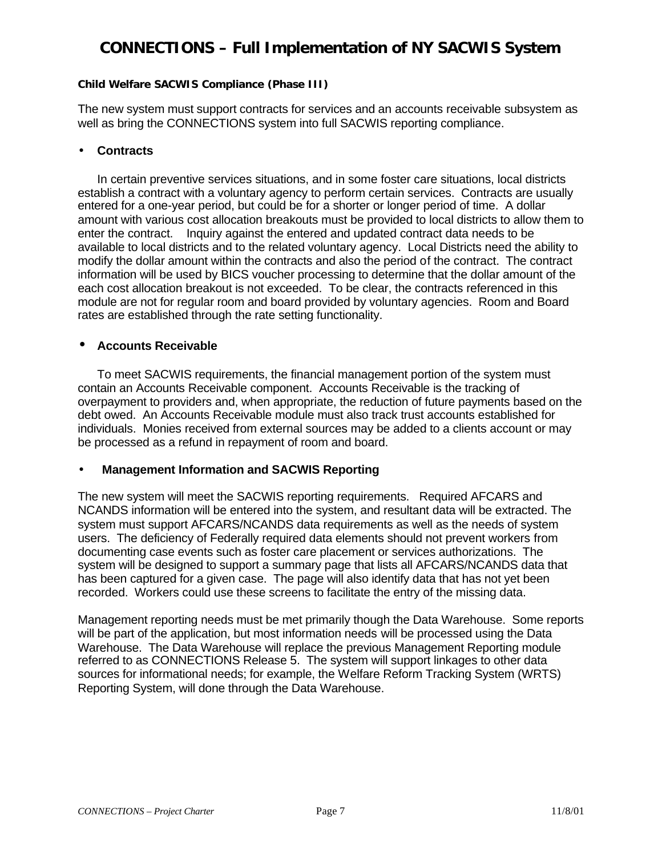#### **Child Welfare SACWIS Compliance (Phase III)**

The new system must support contracts for services and an accounts receivable subsystem as well as bring the CONNECTIONS system into full SACWIS reporting compliance.

### • **Contracts**

In certain preventive services situations, and in some foster care situations, local districts establish a contract with a voluntary agency to perform certain services. Contracts are usually entered for a one-year period, but could be for a shorter or longer period of time. A dollar amount with various cost allocation breakouts must be provided to local districts to allow them to enter the contract. Inquiry against the entered and updated contract data needs to be available to local districts and to the related voluntary agency. Local Districts need the ability to modify the dollar amount within the contracts and also the period of the contract. The contract information will be used by BICS voucher processing to determine that the dollar amount of the each cost allocation breakout is not exceeded. To be clear, the contracts referenced in this module are not for regular room and board provided by voluntary agencies. Room and Board rates are established through the rate setting functionality.

#### • **Accounts Receivable**

To meet SACWIS requirements, the financial management portion of the system must contain an Accounts Receivable component. Accounts Receivable is the tracking of overpayment to providers and, when appropriate, the reduction of future payments based on the debt owed. An Accounts Receivable module must also track trust accounts established for individuals. Monies received from external sources may be added to a clients account or may be processed as a refund in repayment of room and board.

### • **Management Information and SACWIS Reporting**

The new system will meet the SACWIS reporting requirements. Required AFCARS and NCANDS information will be entered into the system, and resultant data will be extracted. The system must support AFCARS/NCANDS data requirements as well as the needs of system users. The deficiency of Federally required data elements should not prevent workers from documenting case events such as foster care placement or services authorizations. The system will be designed to support a summary page that lists all AFCARS/NCANDS data that has been captured for a given case. The page will also identify data that has not yet been recorded. Workers could use these screens to facilitate the entry of the missing data.

Management reporting needs must be met primarily though the Data Warehouse. Some reports will be part of the application, but most information needs will be processed using the Data Warehouse. The Data Warehouse will replace the previous Management Reporting module referred to as CONNECTIONS Release 5. The system will support linkages to other data sources for informational needs; for example, the Welfare Reform Tracking System (WRTS) Reporting System, will done through the Data Warehouse.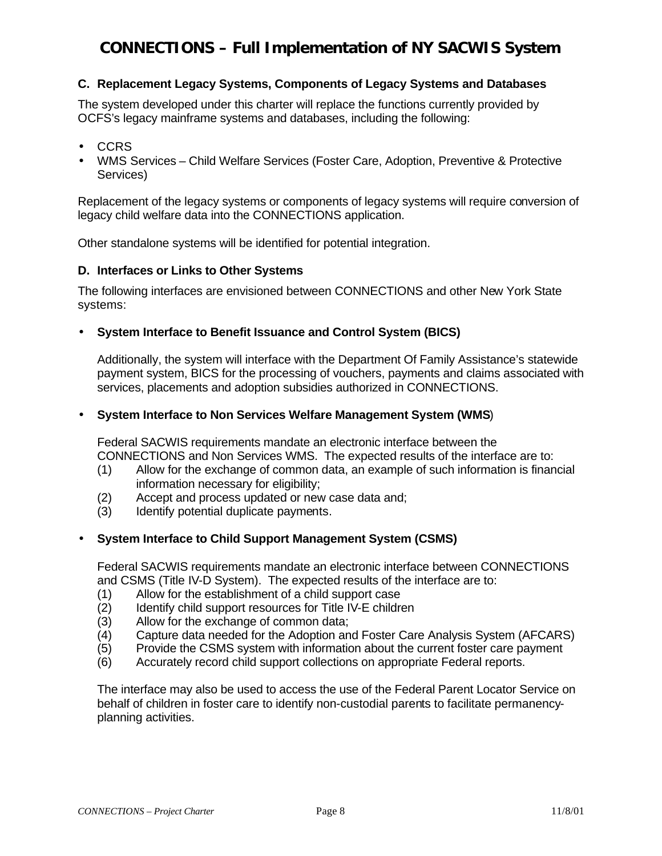### **C. Replacement Legacy Systems, Components of Legacy Systems and Databases**

The system developed under this charter will replace the functions currently provided by OCFS's legacy mainframe systems and databases, including the following:

- CCRS
- WMS Services Child Welfare Services (Foster Care, Adoption, Preventive & Protective Services)

Replacement of the legacy systems or components of legacy systems will require conversion of legacy child welfare data into the CONNECTIONS application.

Other standalone systems will be identified for potential integration.

### **D. Interfaces or Links to Other Systems**

The following interfaces are envisioned between CONNECTIONS and other New York State systems:

• **System Interface to Benefit Issuance and Control System (BICS)**

Additionally, the system will interface with the Department Of Family Assistance's statewide payment system, BICS for the processing of vouchers, payments and claims associated with services, placements and adoption subsidies authorized in CONNECTIONS.

#### • **System Interface to Non Services Welfare Management System (WMS**)

Federal SACWIS requirements mandate an electronic interface between the CONNECTIONS and Non Services WMS. The expected results of the interface are to:

- (1) Allow for the exchange of common data, an example of such information is financial information necessary for eligibility;
- (2) Accept and process updated or new case data and;
- (3) Identify potential duplicate payments.

### • **System Interface to Child Support Management System (CSMS)**

Federal SACWIS requirements mandate an electronic interface between CONNECTIONS and CSMS (Title IV-D System). The expected results of the interface are to:

- (1) Allow for the establishment of a child support case
- (2) Identify child support resources for Title IV-E children
- (3) Allow for the exchange of common data;
- (4) Capture data needed for the Adoption and Foster Care Analysis System (AFCARS)
- (5) Provide the CSMS system with information about the current foster care payment
- (6) Accurately record child support collections on appropriate Federal reports.

The interface may also be used to access the use of the Federal Parent Locator Service on behalf of children in foster care to identify non-custodial parents to facilitate permanencyplanning activities.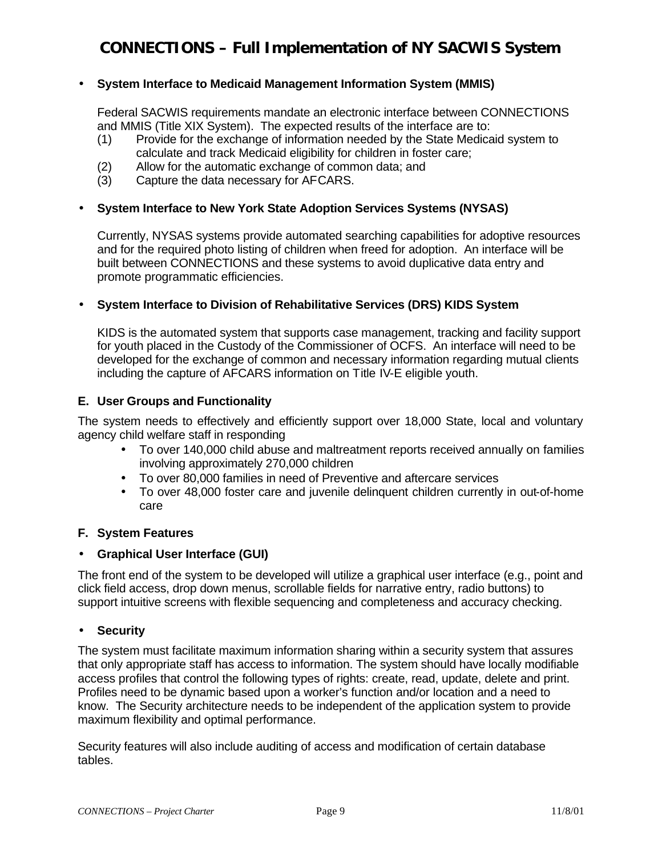### • **System Interface to Medicaid Management Information System (MMIS)**

Federal SACWIS requirements mandate an electronic interface between CONNECTIONS and MMIS (Title XIX System). The expected results of the interface are to:

- (1) Provide for the exchange of information needed by the State Medicaid system to calculate and track Medicaid eligibility for children in foster care;
- (2) Allow for the automatic exchange of common data; and
- (3) Capture the data necessary for AFCARS.

### • **System Interface to New York State Adoption Services Systems (NYSAS)**

Currently, NYSAS systems provide automated searching capabilities for adoptive resources and for the required photo listing of children when freed for adoption. An interface will be built between CONNECTIONS and these systems to avoid duplicative data entry and promote programmatic efficiencies.

#### • **System Interface to Division of Rehabilitative Services (DRS) KIDS System**

KIDS is the automated system that supports case management, tracking and facility support for youth placed in the Custody of the Commissioner of OCFS. An interface will need to be developed for the exchange of common and necessary information regarding mutual clients including the capture of AFCARS information on Title IV-E eligible youth.

#### **E. User Groups and Functionality**

The system needs to effectively and efficiently support over 18,000 State, local and voluntary agency child welfare staff in responding

- To over 140,000 child abuse and maltreatment reports received annually on families involving approximately 270,000 children
- To over 80,000 families in need of Preventive and aftercare services
- To over 48,000 foster care and juvenile delinquent children currently in out-of-home care

#### **F. System Features**

#### • **Graphical User Interface (GUI)**

The front end of the system to be developed will utilize a graphical user interface (e.g., point and click field access, drop down menus, scrollable fields for narrative entry, radio buttons) to support intuitive screens with flexible sequencing and completeness and accuracy checking.

#### • **Security**

The system must facilitate maximum information sharing within a security system that assures that only appropriate staff has access to information. The system should have locally modifiable access profiles that control the following types of rights: create, read, update, delete and print. Profiles need to be dynamic based upon a worker's function and/or location and a need to know. The Security architecture needs to be independent of the application system to provide maximum flexibility and optimal performance.

Security features will also include auditing of access and modification of certain database tables.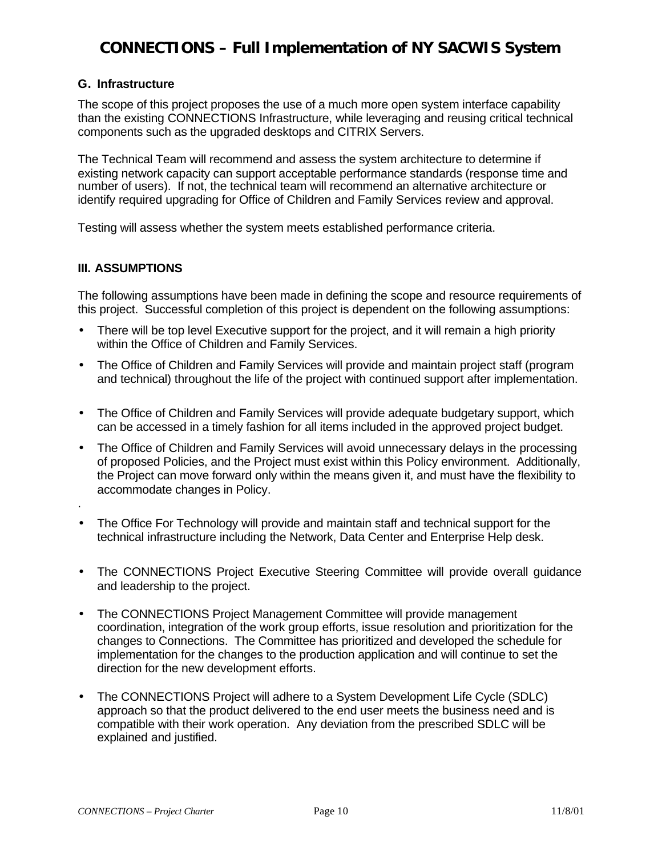#### **G. Infrastructure**

The scope of this project proposes the use of a much more open system interface capability than the existing CONNECTIONS Infrastructure, while leveraging and reusing critical technical components such as the upgraded desktops and CITRIX Servers.

The Technical Team will recommend and assess the system architecture to determine if existing network capacity can support acceptable performance standards (response time and number of users). If not, the technical team will recommend an alternative architecture or identify required upgrading for Office of Children and Family Services review and approval.

Testing will assess whether the system meets established performance criteria.

#### **III. ASSUMPTIONS**

The following assumptions have been made in defining the scope and resource requirements of this project. Successful completion of this project is dependent on the following assumptions:

- There will be top level Executive support for the project, and it will remain a high priority within the Office of Children and Family Services.
- The Office of Children and Family Services will provide and maintain project staff (program and technical) throughout the life of the project with continued support after implementation.
- The Office of Children and Family Services will provide adequate budgetary support, which can be accessed in a timely fashion for all items included in the approved project budget.
- The Office of Children and Family Services will avoid unnecessary delays in the processing of proposed Policies, and the Project must exist within this Policy environment. Additionally, the Project can move forward only within the means given it, and must have the flexibility to accommodate changes in Policy.
- .
- The Office For Technology will provide and maintain staff and technical support for the technical infrastructure including the Network, Data Center and Enterprise Help desk.
- The CONNECTIONS Project Executive Steering Committee will provide overall guidance and leadership to the project.
- The CONNECTIONS Project Management Committee will provide management coordination, integration of the work group efforts, issue resolution and prioritization for the changes to Connections. The Committee has prioritized and developed the schedule for implementation for the changes to the production application and will continue to set the direction for the new development efforts.
- The CONNECTIONS Project will adhere to a System Development Life Cycle (SDLC) approach so that the product delivered to the end user meets the business need and is compatible with their work operation. Any deviation from the prescribed SDLC will be explained and justified.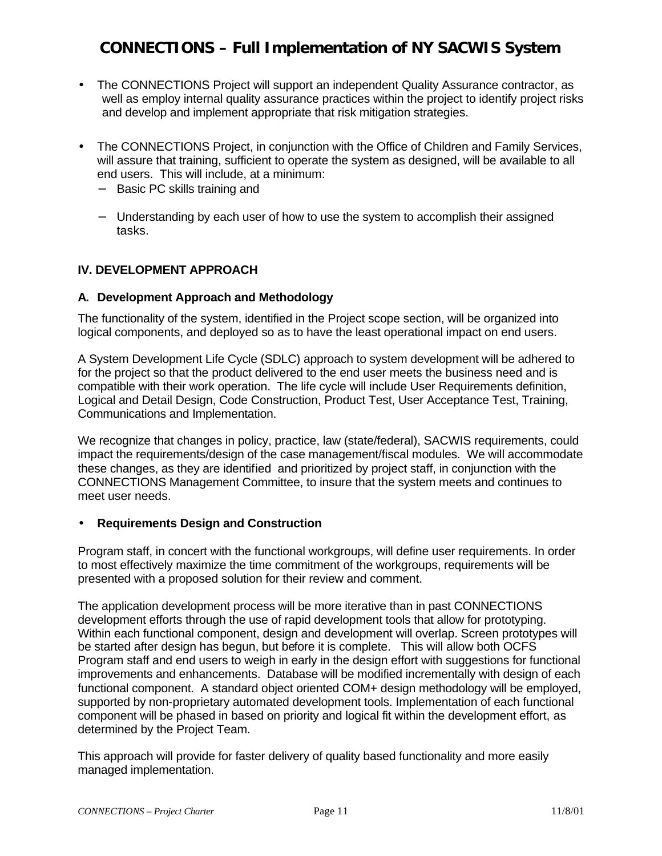- The CONNECTIONS Project will support an independent Quality Assurance contractor, as well as employ internal quality assurance practices within the project to identify project risks and develop and implement appropriate that risk mitigation strategies.
- The CONNECTIONS Project, in conjunction with the Office of Children and Family Services, will assure that training, sufficient to operate the system as designed, will be available to all end users. This will include, at a minimum:
	- − Basic PC skills training and
	- − Understanding by each user of how to use the system to accomplish their assigned tasks.

### **IV. DEVELOPMENT APPROACH**

#### **A. Development Approach and Methodology**

The functionality of the system, identified in the Project scope section, will be organized into logical components, and deployed so as to have the least operational impact on end users.

A System Development Life Cycle (SDLC) approach to system development will be adhered to for the project so that the product delivered to the end user meets the business need and is compatible with their work operation. The life cycle will include User Requirements definition, Logical and Detail Design, Code Construction, Product Test, User Acceptance Test, Training, Communications and Implementation.

We recognize that changes in policy, practice, law (state/federal), SACWIS requirements, could impact the requirements/design of the case management/fiscal modules. We will accommodate these changes, as they are identified and prioritized by project staff, in conjunction with the CONNECTIONS Management Committee, to insure that the system meets and continues to meet user needs.

#### • **Requirements Design and Construction**

Program staff, in concert with the functional workgroups, will define user requirements. In order to most effectively maximize the time commitment of the workgroups, requirements will be presented with a proposed solution for their review and comment.

The application development process will be more iterative than in past CONNECTIONS development efforts through the use of rapid development tools that allow for prototyping. Within each functional component, design and development will overlap. Screen prototypes will be started after design has begun, but before it is complete. This will allow both OCFS Program staff and end users to weigh in early in the design effort with suggestions for functional improvements and enhancements. Database will be modified incrementally with design of each functional component. A standard object oriented COM+ design methodology will be employed, supported by non-proprietary automated development tools. Implementation of each functional component will be phased in based on priority and logical fit within the development effort, as determined by the Project Team.

This approach will provide for faster delivery of quality based functionality and more easily managed implementation.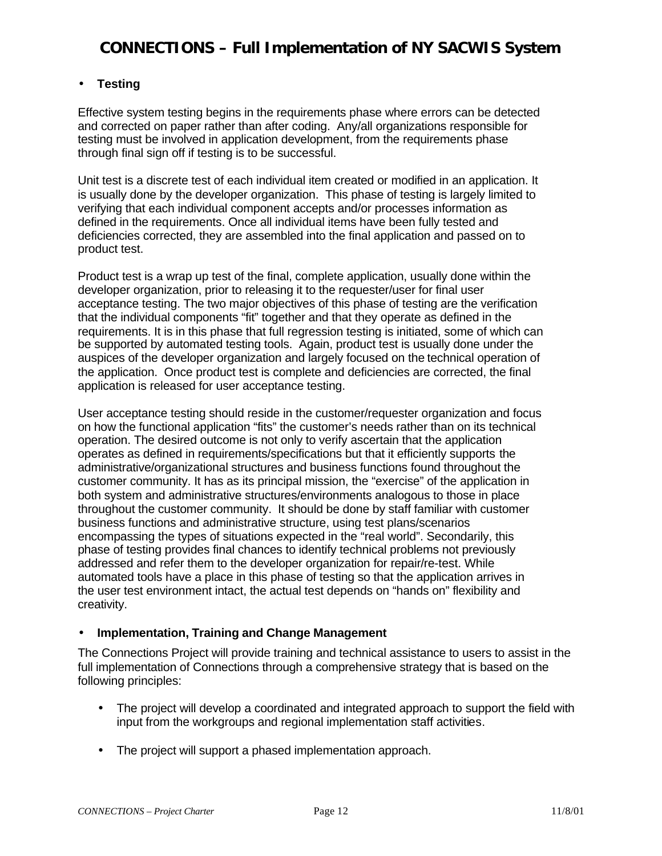### • **Testing**

Effective system testing begins in the requirements phase where errors can be detected and corrected on paper rather than after coding. Any/all organizations responsible for testing must be involved in application development, from the requirements phase through final sign off if testing is to be successful.

Unit test is a discrete test of each individual item created or modified in an application. It is usually done by the developer organization. This phase of testing is largely limited to verifying that each individual component accepts and/or processes information as defined in the requirements. Once all individual items have been fully tested and deficiencies corrected, they are assembled into the final application and passed on to product test.

Product test is a wrap up test of the final, complete application, usually done within the developer organization, prior to releasing it to the requester/user for final user acceptance testing. The two major objectives of this phase of testing are the verification that the individual components "fit" together and that they operate as defined in the requirements. It is in this phase that full regression testing is initiated, some of which can be supported by automated testing tools. Again, product test is usually done under the auspices of the developer organization and largely focused on the technical operation of the application. Once product test is complete and deficiencies are corrected, the final application is released for user acceptance testing.

User acceptance testing should reside in the customer/requester organization and focus on how the functional application "fits" the customer's needs rather than on its technical operation. The desired outcome is not only to verify ascertain that the application operates as defined in requirements/specifications but that it efficiently supports the administrative/organizational structures and business functions found throughout the customer community. It has as its principal mission, the "exercise" of the application in both system and administrative structures/environments analogous to those in place throughout the customer community. It should be done by staff familiar with customer business functions and administrative structure, using test plans/scenarios encompassing the types of situations expected in the "real world". Secondarily, this phase of testing provides final chances to identify technical problems not previously addressed and refer them to the developer organization for repair/re-test. While automated tools have a place in this phase of testing so that the application arrives in the user test environment intact, the actual test depends on "hands on" flexibility and creativity.

### • **Implementation, Training and Change Management**

The Connections Project will provide training and technical assistance to users to assist in the full implementation of Connections through a comprehensive strategy that is based on the following principles:

- The project will develop a coordinated and integrated approach to support the field with input from the workgroups and regional implementation staff activities.
- The project will support a phased implementation approach.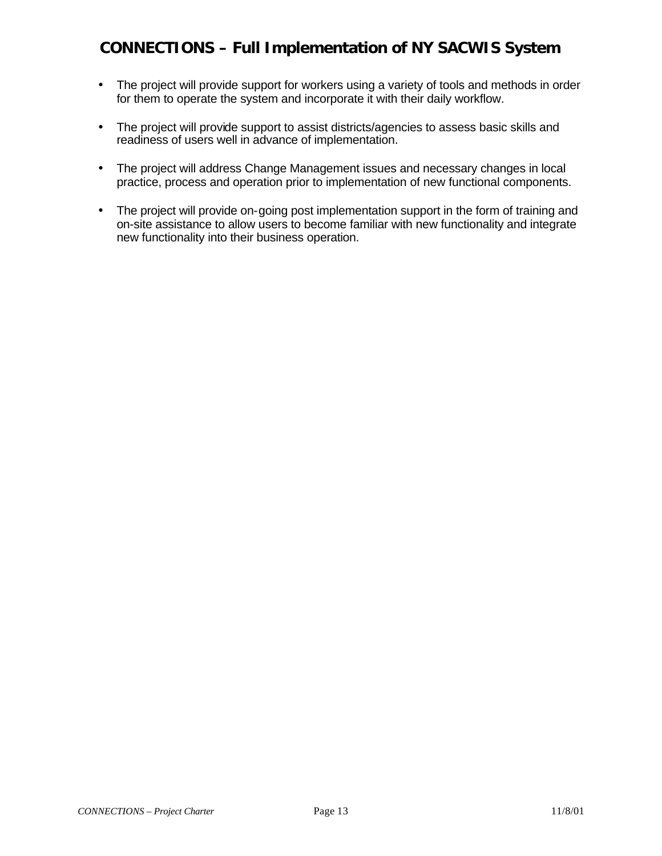- The project will provide support for workers using a variety of tools and methods in order for them to operate the system and incorporate it with their daily workflow.
- The project will provide support to assist districts/agencies to assess basic skills and readiness of users well in advance of implementation.
- The project will address Change Management issues and necessary changes in local practice, process and operation prior to implementation of new functional components.
- The project will provide on-going post implementation support in the form of training and on-site assistance to allow users to become familiar with new functionality and integrate new functionality into their business operation.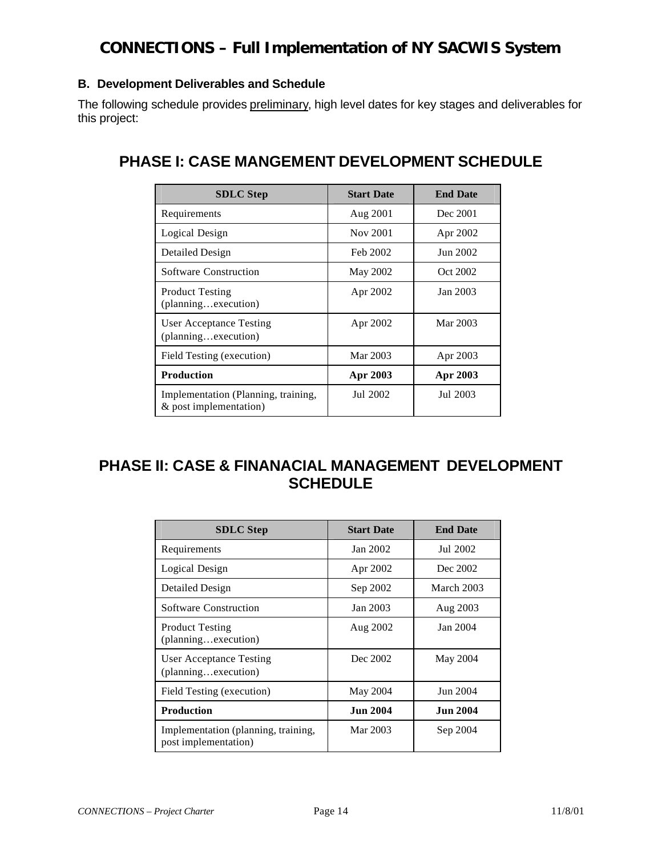### **B. Development Deliverables and Schedule**

The following schedule provides preliminary, high level dates for key stages and deliverables for this project:

### **PHASE I: CASE MANGEMENT DEVELOPMENT SCHEDULE**

| <b>SDLC</b> Step                                              | <b>Start Date</b> | <b>End Date</b> |  |
|---------------------------------------------------------------|-------------------|-----------------|--|
| Requirements                                                  | Aug 2001          | Dec 2001        |  |
| Logical Design                                                | Nov 2001          | Apr 2002        |  |
| Detailed Design                                               | Feb 2002          | Jun 2002        |  |
| <b>Software Construction</b>                                  | May 2002          | Oct 2002        |  |
| <b>Product Testing</b><br>(planningexecution)                 | Apr 2002          | Jan 2003        |  |
| <b>User Acceptance Testing</b><br>(planningexecution)         | Apr 2002          | Mar 2003        |  |
| Field Testing (execution)                                     | Mar 2003          | Apr 2003        |  |
| <b>Production</b>                                             | Apr 2003          | Apr 2003        |  |
| Implementation (Planning, training,<br>& post implementation) | Jul 2002          | Jul 2003        |  |

## **PHASE II: CASE & FINANACIAL MANAGEMENT DEVELOPMENT SCHEDULE**

| <b>SDLC</b> Step                                            | <b>Start Date</b> | <b>End Date</b> |  |
|-------------------------------------------------------------|-------------------|-----------------|--|
| Requirements                                                | Jan 2002          | Jul 2002        |  |
| Logical Design                                              | Apr 2002          | Dec 2002        |  |
| Detailed Design                                             | Sep 2002          | March 2003      |  |
| <b>Software Construction</b>                                | Jan 2003          | Aug 2003        |  |
| <b>Product Testing</b><br>(planningexecution)               | Aug 2002          | Jan 2004        |  |
| User Acceptance Testing<br>(planningexecution)              | Dec 2002          | May 2004        |  |
| Field Testing (execution)                                   | May 2004          | Jun 2004        |  |
| <b>Production</b>                                           | <b>Jun 2004</b>   | <b>Jun 2004</b> |  |
| Implementation (planning, training,<br>post implementation) | Mar 2003          | Sep 2004        |  |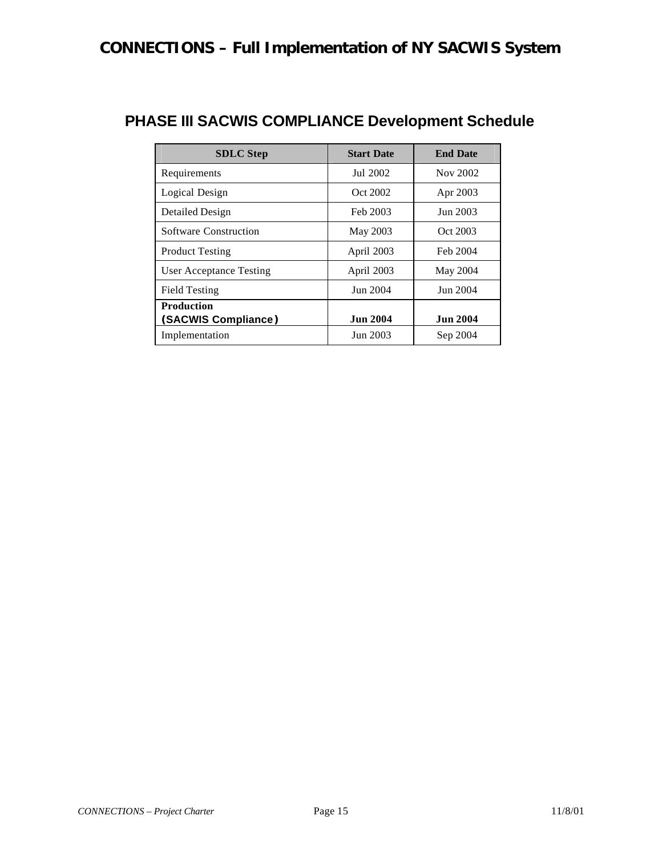| <b>SDLC</b> Step               | <b>Start Date</b> | <b>End Date</b> |
|--------------------------------|-------------------|-----------------|
| Requirements                   | Jul 2002          | Nov 2002        |
| Logical Design                 | Oct 2002          | Apr 2003        |
| Detailed Design                | Feb 2003          | Jun 2003        |
| <b>Software Construction</b>   | <b>May 2003</b>   | Oct 2003        |
| <b>Product Testing</b>         | April 2003        | Feb 2004        |
| <b>User Acceptance Testing</b> | April 2003        | May 2004        |
| <b>Field Testing</b>           | Jun 2004          | Jun 2004        |
| <b>Production</b>              |                   |                 |
| (SACWIS Compliance)            | <b>Jun 2004</b>   | <b>Jun 2004</b> |
| Implementation                 | Jun 2003          | Sep 2004        |

## **PHASE III SACWIS COMPLIANCE Development Schedule**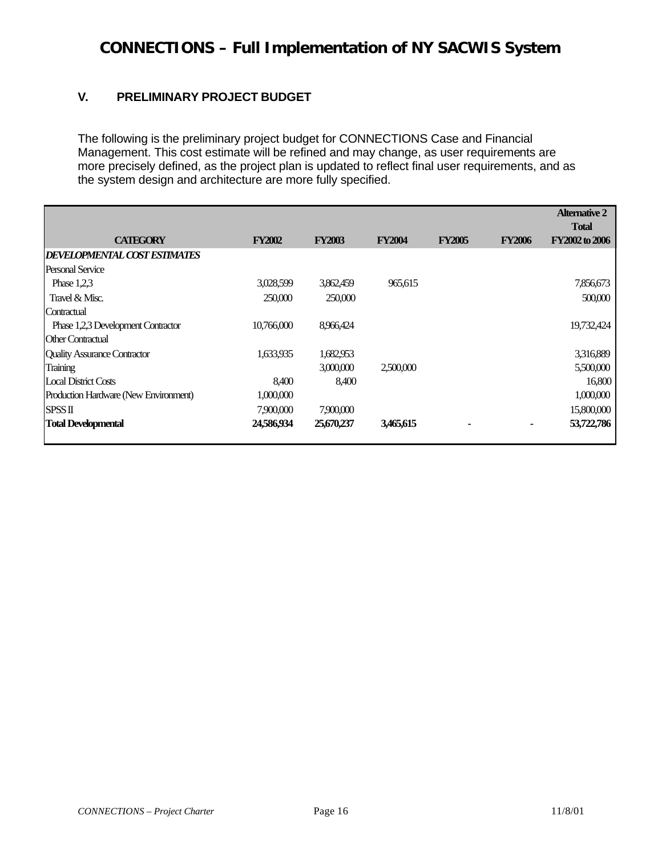### **V. PRELIMINARY PROJECT BUDGET**

The following is the preliminary project budget for CONNECTIONS Case and Financial Management. This cost estimate will be refined and may change, as user requirements are more precisely defined, as the project plan is updated to reflect final user requirements, and as the system design and architecture are more fully specified.

|                                       |               |               |               |               |               | <b>Alternative 2</b><br><b>Total</b> |
|---------------------------------------|---------------|---------------|---------------|---------------|---------------|--------------------------------------|
| <b>CATEGORY</b>                       | <b>FY2002</b> | <b>FY2003</b> | <b>FY2004</b> | <b>FY2005</b> | <b>FY2006</b> | FY2002 to 2006                       |
| <b>DEVELOPMENTAL COST ESTIMATES</b>   |               |               |               |               |               |                                      |
| Personal Service                      |               |               |               |               |               |                                      |
| Phase $1.2.3$                         | 3,028,599     | 3,862,459     | 965.615       |               |               | 7,856,673                            |
| Travel & Misc.                        | 250,000       | 250,000       |               |               |               | 500,000                              |
| Contractual                           |               |               |               |               |               |                                      |
| Phase 1,2,3 Development Contractor    | 10,766,000    | 8,966,424     |               |               |               | 19,732,424                           |
| <b>Other Contractual</b>              |               |               |               |               |               |                                      |
| <b>Quality Assurance Contractor</b>   | 1,633,935     | 1,682,953     |               |               |               | 3,316,889                            |
| Training                              |               | 3,000,000     | 2,500,000     |               |               | 5,500,000                            |
| Local District Costs                  | 8.400         | 8,400         |               |               |               | 16,800                               |
| Production Hardware (New Environment) | 1,000,000     |               |               |               |               | 1,000,000                            |
| <b>SPSS II</b>                        | 7,900,000     | 7,900,000     |               |               |               | 15,800,000                           |
| <b>Total Developmental</b>            | 24,586,934    | 25,670,237    | 3,465,615     |               | ۰             | 53,722,786                           |
|                                       |               |               |               |               |               |                                      |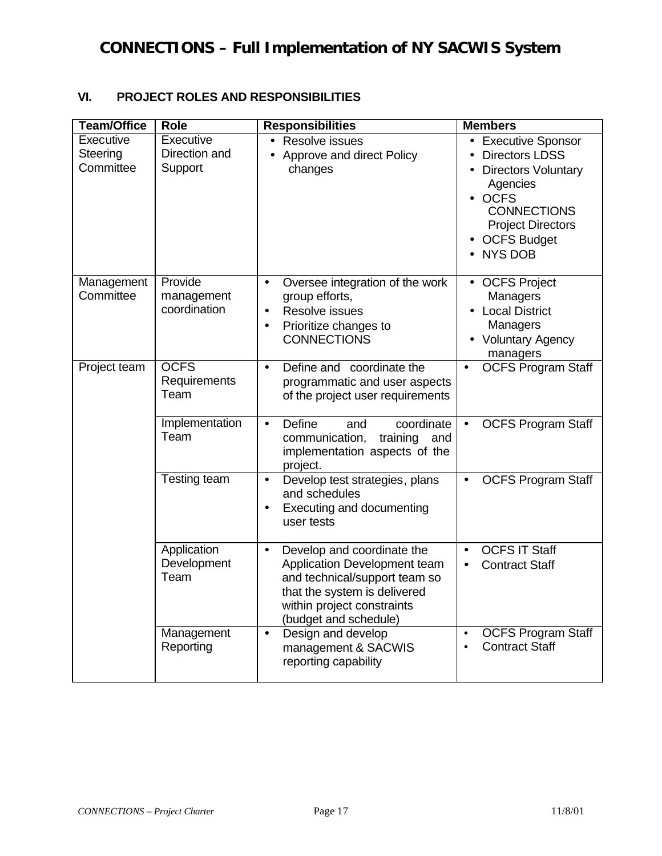### **VI. PROJECT ROLES AND RESPONSIBILITIES**

| <b>Team/Office</b>                 | <b>Role</b>                           | <b>Responsibilities</b>                                                                                                                                                                         | <b>Members</b>                                                                                                                                                                        |
|------------------------------------|---------------------------------------|-------------------------------------------------------------------------------------------------------------------------------------------------------------------------------------------------|---------------------------------------------------------------------------------------------------------------------------------------------------------------------------------------|
| Executive<br>Steering<br>Committee | Executive<br>Direction and<br>Support | • Resolve issues<br>Approve and direct Policy<br>changes                                                                                                                                        | • Executive Sponsor<br><b>Directors LDSS</b><br><b>Directors Voluntary</b><br>Agencies<br><b>OCFS</b><br><b>CONNECTIONS</b><br><b>Project Directors</b><br>• OCFS Budget<br>• NYS DOB |
| Management<br>Committee            | Provide<br>management<br>coordination | Oversee integration of the work<br>$\bullet$<br>group efforts,<br>Resolve issues<br>$\bullet$<br>Prioritize changes to<br>$\bullet$<br><b>CONNECTIONS</b>                                       | • OCFS Project<br>Managers<br>• Local District<br>Managers<br>• Voluntary Agency<br>managers                                                                                          |
| Project team                       | <b>OCFS</b><br>Requirements<br>Team   | Define and coordinate the<br>$\bullet$<br>programmatic and user aspects<br>of the project user requirements                                                                                     | <b>OCFS Program Staff</b>                                                                                                                                                             |
|                                    | Implementation<br>Team                | Define<br>coordinate<br>and<br>$\bullet$<br>communication,<br>training<br>and<br>implementation aspects of the<br>project.                                                                      | <b>OCFS Program Staff</b>                                                                                                                                                             |
|                                    | Testing team                          | Develop test strategies, plans<br>$\bullet$<br>and schedules<br>Executing and documenting<br>$\bullet$<br>user tests                                                                            | <b>OCFS Program Staff</b><br>$\bullet$                                                                                                                                                |
|                                    | Application<br>Development<br>Team    | Develop and coordinate the<br>$\bullet$<br>Application Development team<br>and technical/support team so<br>that the system is delivered<br>within project constraints<br>(budget and schedule) | <b>OCFS IT Staff</b><br>$\bullet$<br><b>Contract Staff</b><br>$\bullet$                                                                                                               |
|                                    | Management<br>Reporting               | Design and develop<br>$\bullet$<br>management & SACWIS<br>reporting capability                                                                                                                  | <b>OCFS Program Staff</b><br>$\bullet$<br><b>Contract Staff</b><br>$\bullet$                                                                                                          |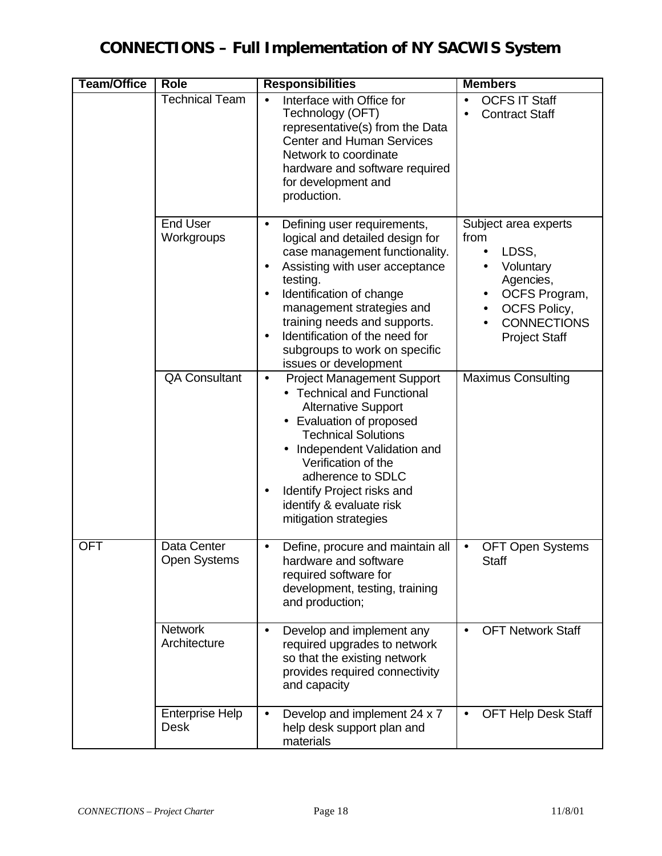| <b>Team/Office</b> | <b>Role</b>                           | <b>Responsibilities</b>                                                                                                                                                                                                                                                                                                                                                                 | <b>Members</b>                                                                                                                                                                                                         |  |  |
|--------------------|---------------------------------------|-----------------------------------------------------------------------------------------------------------------------------------------------------------------------------------------------------------------------------------------------------------------------------------------------------------------------------------------------------------------------------------------|------------------------------------------------------------------------------------------------------------------------------------------------------------------------------------------------------------------------|--|--|
|                    | Technical Team                        | Interface with Office for<br>Technology (OFT)<br>representative(s) from the Data<br><b>Center and Human Services</b><br>Network to coordinate<br>hardware and software required<br>for development and<br>production.                                                                                                                                                                   | <b>OCFS IT Staff</b><br>$\bullet$<br><b>Contract Staff</b>                                                                                                                                                             |  |  |
|                    | <b>End User</b><br>Workgroups         | Defining user requirements,<br>$\bullet$<br>logical and detailed design for<br>case management functionality.<br>Assisting with user acceptance<br>$\bullet$<br>testing.<br>Identification of change<br>$\bullet$<br>management strategies and<br>training needs and supports.<br>Identification of the need for<br>$\bullet$<br>subgroups to work on specific<br>issues or development | Subject area experts<br>from<br>LDSS,<br>$\bullet$<br>Voluntary<br>$\bullet$<br>Agencies,<br>OCFS Program,<br>$\bullet$<br><b>OCFS Policy,</b><br>$\bullet$<br><b>CONNECTIONS</b><br>$\bullet$<br><b>Project Staff</b> |  |  |
|                    | <b>QA Consultant</b>                  | <b>Project Management Support</b><br>$\bullet$<br>• Technical and Functional<br><b>Alternative Support</b><br>Evaluation of proposed<br><b>Technical Solutions</b><br>Independent Validation and<br>Verification of the<br>adherence to SDLC<br>Identify Project risks and<br>identify & evaluate risk<br>mitigation strategies                                                         | <b>Maximus Consulting</b>                                                                                                                                                                                              |  |  |
| <b>OFT</b>         | Data Center<br><b>Open Systems</b>    | Define, procure and maintain all<br>$\bullet$<br>hardware and software<br>required software for<br>development, testing, training<br>and production;                                                                                                                                                                                                                                    | <b>OFT Open Systems</b><br>$\bullet$<br>Staff                                                                                                                                                                          |  |  |
|                    | <b>Network</b><br>Architecture        | Develop and implement any<br>$\bullet$<br>required upgrades to network<br>so that the existing network<br>provides required connectivity<br>and capacity                                                                                                                                                                                                                                | <b>OFT Network Staff</b><br>$\bullet$                                                                                                                                                                                  |  |  |
|                    | <b>Enterprise Help</b><br><b>Desk</b> | Develop and implement 24 x 7<br>$\bullet$<br>help desk support plan and<br>materials                                                                                                                                                                                                                                                                                                    | <b>OFT Help Desk Staff</b><br>$\bullet$                                                                                                                                                                                |  |  |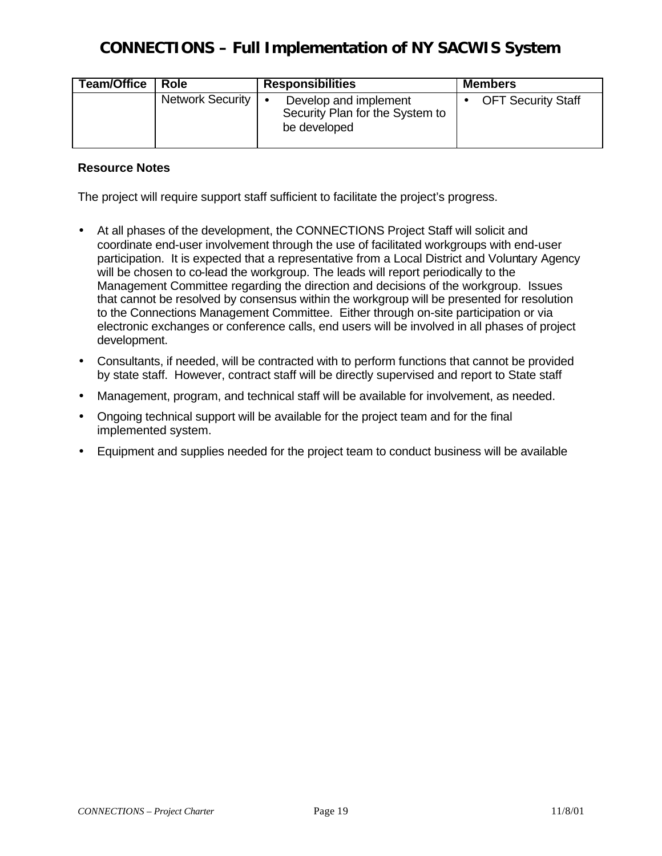| <b>Team/Office</b> | Role             | <b>Responsibilities</b>                                                  | <b>Members</b>            |
|--------------------|------------------|--------------------------------------------------------------------------|---------------------------|
|                    | Network Security | Develop and implement<br>Security Plan for the System to<br>be developed | <b>OFT Security Staff</b> |

### **Resource Notes**

The project will require support staff sufficient to facilitate the project's progress.

- At all phases of the development, the CONNECTIONS Project Staff will solicit and coordinate end-user involvement through the use of facilitated workgroups with end-user participation. It is expected that a representative from a Local District and Voluntary Agency will be chosen to co-lead the workgroup. The leads will report periodically to the Management Committee regarding the direction and decisions of the workgroup. Issues that cannot be resolved by consensus within the workgroup will be presented for resolution to the Connections Management Committee. Either through on-site participation or via electronic exchanges or conference calls, end users will be involved in all phases of project development.
- Consultants, if needed, will be contracted with to perform functions that cannot be provided by state staff. However, contract staff will be directly supervised and report to State staff
- Management, program, and technical staff will be available for involvement, as needed.
- Ongoing technical support will be available for the project team and for the final implemented system.
- Equipment and supplies needed for the project team to conduct business will be available